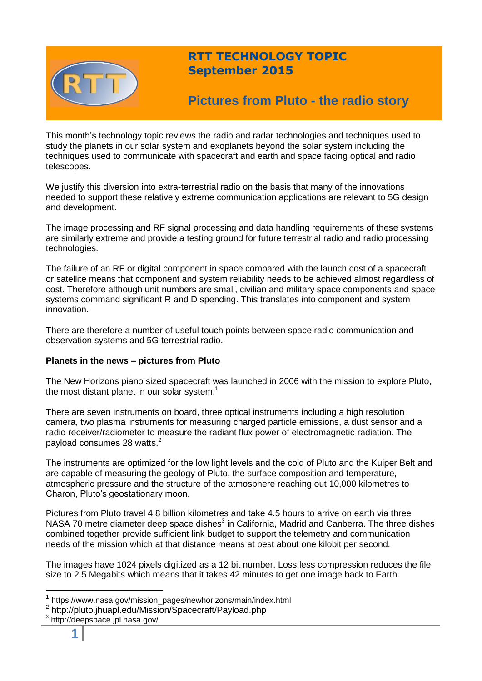

# **RTT TECHNOLOGY TOPIC September 2015**

# **Pictures from Pluto - the radio story**

This month's technology topic reviews the radio and radar technologies and techniques used to study the planets in our solar system and exoplanets beyond the solar system including the techniques used to communicate with spacecraft and earth and space facing optical and radio telescopes.

We justify this diversion into extra-terrestrial radio on the basis that many of the innovations needed to support these relatively extreme communication applications are relevant to 5G design and development.

The image processing and RF signal processing and data handling requirements of these systems are similarly extreme and provide a testing ground for future terrestrial radio and radio processing technologies.

The failure of an RF or digital component in space compared with the launch cost of a spacecraft or satellite means that component and system reliability needs to be achieved almost regardless of cost. Therefore although unit numbers are small, civilian and military space components and space systems command significant R and D spending. This translates into component and system innovation.

There are therefore a number of useful touch points between space radio communication and observation systems and 5G terrestrial radio.

### **Planets in the news – pictures from Pluto**

The New Horizons piano sized spacecraft was launched in 2006 with the mission to explore Pluto, the most distant planet in our solar system.<sup>1</sup>

There are seven instruments on board, three optical instruments including a high resolution camera, two plasma instruments for measuring charged particle emissions, a dust sensor and a radio receiver/radiometer to measure the radiant flux power of electromagnetic radiation. The payload consumes 28 watts.<sup>2</sup>

The instruments are optimized for the low light levels and the cold of Pluto and the Kuiper Belt and are capable of measuring the geology of Pluto, the surface composition and temperature, atmospheric pressure and the structure of the atmosphere reaching out 10,000 kilometres to Charon, Pluto's geostationary moon.

Pictures from Pluto travel 4.8 billion kilometres and take 4.5 hours to arrive on earth via three NASA 70 metre diameter deep space dishes<sup>3</sup> in California, Madrid and Canberra. The three dishes combined together provide sufficient link budget to support the telemetry and communication needs of the mission which at that distance means at best about one kilobit per second.

The images have 1024 pixels digitized as a 12 bit number. Loss less compression reduces the file size to 2.5 Megabits which means that it takes 42 minutes to get one image back to Earth.

<sup>&</sup>lt;sup>1</sup> https://www.nasa.gov/mission\_pages/newhorizons/main/index.html

<sup>&</sup>lt;sup>2</sup> http://pluto.jhuapl.edu/Mission/Spacecraft/Payload.php

<sup>3</sup> http://deepspace.jpl.nasa.gov/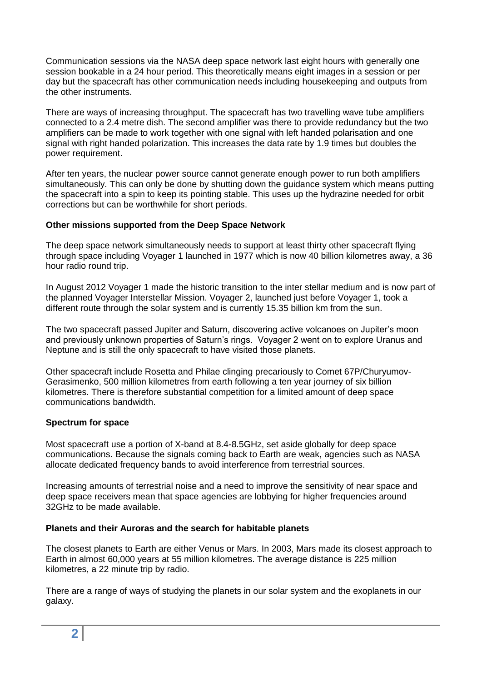Communication sessions via the NASA deep space network last eight hours with generally one session bookable in a 24 hour period. This theoretically means eight images in a session or per day but the spacecraft has other communication needs including housekeeping and outputs from the other instruments.

There are ways of increasing throughput. The spacecraft has two travelling wave tube amplifiers connected to a 2.4 metre dish. The second amplifier was there to provide redundancy but the two amplifiers can be made to work together with one signal with left handed polarisation and one signal with right handed polarization. This increases the data rate by 1.9 times but doubles the power requirement.

After ten years, the nuclear power source cannot generate enough power to run both amplifiers simultaneously. This can only be done by shutting down the guidance system which means putting the spacecraft into a spin to keep its pointing stable. This uses up the hydrazine needed for orbit corrections but can be worthwhile for short periods.

### **Other missions supported from the Deep Space Network**

The deep space network simultaneously needs to support at least thirty other spacecraft flying through space including Voyager 1 launched in 1977 which is now 40 billion kilometres away, a 36 hour radio round trip.

In August 2012 Voyager 1 made the historic transition to the inter stellar medium and is now part of the planned Voyager Interstellar Mission. Voyager 2, launched just before Voyager 1, took a different route through the solar system and is currently 15.35 billion km from the sun.

The two spacecraft passed Jupiter and Saturn, discovering active volcanoes on Jupiter's moon and previously unknown properties of Saturn's rings. Voyager 2 went on to explore Uranus and Neptune and is still the only spacecraft to have visited those planets.

Other spacecraft include Rosetta and Philae clinging precariously to Comet 67P/Churyumov-Gerasimenko, 500 million kilometres from earth following a ten year journey of six billion kilometres. There is therefore substantial competition for a limited amount of deep space communications bandwidth.

### **Spectrum for space**

Most spacecraft use a portion of X-band at 8.4-8.5GHz, set aside globally for deep space communications. Because the signals coming back to Earth are weak, agencies such as NASA allocate dedicated frequency bands to avoid interference from terrestrial sources.

Increasing amounts of terrestrial noise and a need to improve the sensitivity of near space and deep space receivers mean that space agencies are lobbying for higher frequencies around 32GHz to be made available.

### **Planets and their Auroras and the search for habitable planets**

The closest planets to Earth are either Venus or Mars. In 2003, Mars made its closest approach to Earth in almost 60,000 years at 55 million kilometres. The average distance is 225 million kilometres, a 22 minute trip by radio.

There are a range of ways of studying the planets in our solar system and the exoplanets in our galaxy.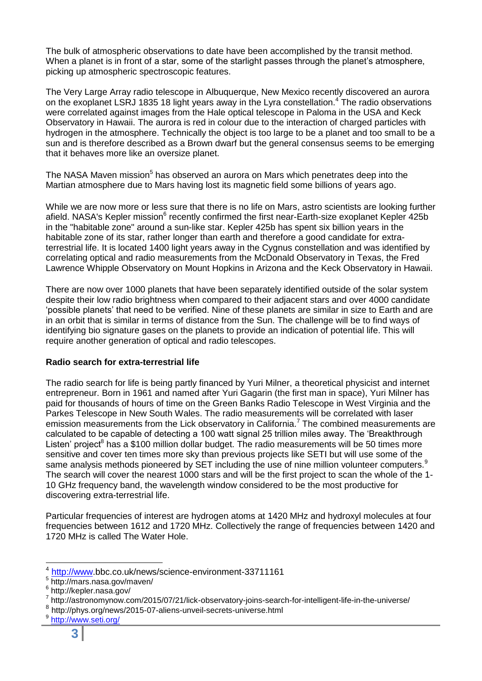The bulk of atmospheric observations to date have been accomplished by the transit method. When a planet is in front of a star, some of the starlight passes through the planet's atmosphere, picking up atmospheric spectroscopic features.

The Very Large Array radio telescope in Albuquerque, New Mexico recently discovered an aurora on the exoplanet LSRJ 1835 18 light years away in the Lyra constellation.<sup>4</sup> The radio observations were correlated against images from the Hale optical telescope in Paloma in the USA and Keck Observatory in Hawaii. The aurora is red in colour due to the interaction of charged particles with hydrogen in the atmosphere. Technically the object is too large to be a planet and too small to be a sun and is therefore described as a Brown dwarf but the general consensus seems to be emerging that it behaves more like an oversize planet.

The NASA Maven mission<sup>5</sup> has observed an aurora on Mars which penetrates deep into the Martian atmosphere due to Mars having lost its magnetic field some billions of years ago.

While we are now more or less sure that there is no life on Mars, astro scientists are looking further afield. NASA's Kepler mission<sup>6</sup> recently confirmed the first near-Earth-size exoplanet Kepler 425b in the "habitable zone" around a sun-like star. Kepler 425b has spent six billion years in the habitable zone of its star, rather longer than earth and therefore a good candidate for extraterrestrial life. It is located 1400 light years away in the Cygnus constellation and was identified by correlating optical and radio measurements from the McDonald Observatory in Texas, the Fred Lawrence Whipple Observatory on Mount Hopkins in Arizona and the Keck Observatory in Hawaii.

There are now over 1000 planets that have been separately identified outside of the solar system despite their low radio brightness when compared to their adjacent stars and over 4000 candidate 'possible planets' that need to be verified. Nine of these planets are similar in size to Earth and are in an orbit that is similar in terms of distance from the Sun. The challenge will be to find ways of identifying bio signature gases on the planets to provide an indication of potential life. This will require another generation of optical and radio telescopes.

### **Radio search for extra-terrestrial life**

The radio search for life is being partly financed by Yuri Milner, a theoretical physicist and internet entrepreneur. Born in 1961 and named after Yuri Gagarin (the first man in space), Yuri Milner has paid for thousands of hours of time on the Green Banks Radio Telescope in West Virginia and the Parkes Telescope in New South Wales. The radio measurements will be correlated with laser emission measurements from the Lick observatory in California.<sup>7</sup> The combined measurements are calculated to be capable of detecting a 100 watt signal 25 trillion miles away. The 'Breakthrough Listen' project<sup>8</sup> has a \$100 million dollar budget. The radio measurements will be 50 times more sensitive and cover ten times more sky than previous projects like SETI but will use some of the same analysis methods pioneered by SET including the use of nine million volunteer computers.<sup>9</sup> The search will cover the nearest 1000 stars and will be the first project to scan the whole of the 1- 10 GHz frequency band, the wavelength window considered to be the most productive for discovering extra-terrestrial life.

Particular frequencies of interest are hydrogen atoms at 1420 MHz and hydroxyl molecules at four frequencies between 1612 and 1720 MHz. Collectively the range of frequencies between 1420 and 1720 MHz is called The Water Hole.

<sup>&</sup>lt;sup>4</sup> [http://www.](http://www/)bbc.co.uk/news/science-environment-33711161

<sup>5</sup> http://mars.nasa.gov/maven/

<sup>&</sup>lt;sup>6</sup> http://kepler.nasa.gov/

<sup>7</sup> http://astronomynow.com/2015/07/21/lick-observatory-joins-search-for-intelligent-life-in-the-universe/

<sup>8</sup> http://phys.org/news/2015-07-aliens-unveil-secrets-universe.html

<sup>9</sup> <http://www.seti.org/>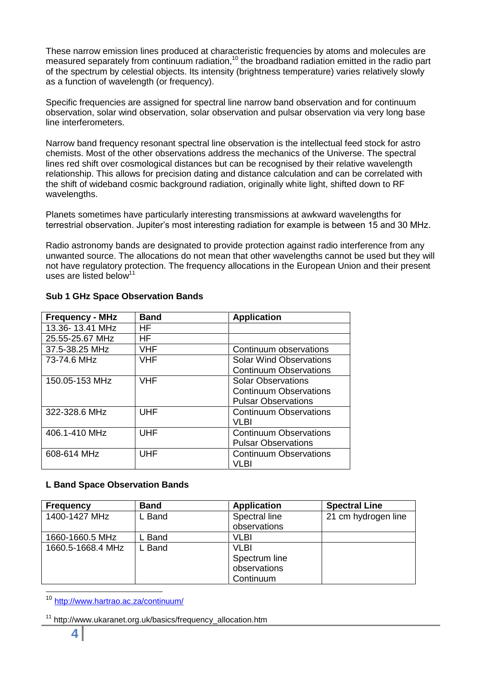These narrow emission lines produced at characteristic frequencies by atoms and molecules are measured separately from continuum radiation,<sup>10</sup> the broadband radiation emitted in the radio part of the spectrum by celestial objects. Its intensity (brightness temperature) varies relatively slowly as a function of wavelength (or frequency).

Specific frequencies are assigned for spectral line narrow band observation and for continuum observation, solar wind observation, solar observation and pulsar observation via very long base line interferometers.

Narrow band frequency resonant spectral line observation is the intellectual feed stock for astro chemists. Most of the other observations address the mechanics of the Universe. The spectral lines red shift over cosmological distances but can be recognised by their relative wavelength relationship. This allows for precision dating and distance calculation and can be correlated with the shift of wideband cosmic background radiation, originally white light, shifted down to RF wavelengths.

Planets sometimes have particularly interesting transmissions at awkward wavelengths for terrestrial observation. Jupiter's most interesting radiation for example is between 15 and 30 MHz.

Radio astronomy bands are designated to provide protection against radio interference from any unwanted source. The allocations do not mean that other wavelengths cannot be used but they will not have regulatory protection. The frequency allocations in the European Union and their present uses are listed below<sup>11</sup>

| <b>Frequency - MHz</b> | <b>Band</b> | <b>Application</b>             |
|------------------------|-------------|--------------------------------|
| 13.36-13.41 MHz        | HF.         |                                |
| 25.55-25.67 MHz        | HF.         |                                |
| 37.5-38.25 MHz         | <b>VHF</b>  | Continuum observations         |
| 73-74.6 MHz            | <b>VHF</b>  | <b>Solar Wind Observations</b> |
|                        |             | <b>Continuum Observations</b>  |
| 150.05-153 MHz         | <b>VHF</b>  | <b>Solar Observations</b>      |
|                        |             | <b>Continuum Observations</b>  |
|                        |             | <b>Pulsar Observations</b>     |
| 322-328.6 MHz          | <b>UHF</b>  | <b>Continuum Observations</b>  |
|                        |             | VI BI                          |
| 406.1-410 MHz          | <b>UHF</b>  | <b>Continuum Observations</b>  |
|                        |             | <b>Pulsar Observations</b>     |
| 608-614 MHz            | UHF         | <b>Continuum Observations</b>  |
|                        |             | VI RI                          |

### **Sub 1 GHz Space Observation Bands**

### **L Band Space Observation Bands**

| <b>Frequency</b>  | <b>Band</b> | <b>Application</b> | <b>Spectral Line</b> |
|-------------------|-------------|--------------------|----------------------|
| 1400-1427 MHz     | . Band      | Spectral line      | 21 cm hydrogen line  |
|                   |             | observations       |                      |
| 1660-1660.5 MHz   | Band        | VLBI               |                      |
| 1660.5-1668.4 MHz | . Band      | VLBI               |                      |
|                   |             | Spectrum line      |                      |
|                   |             | observations       |                      |
|                   |             | Continuum          |                      |

<sup>10</sup> <http://www.hartrao.ac.za/continuum/>

<sup>&</sup>lt;sup>11</sup> http://www.ukaranet.org.uk/basics/frequency\_allocation.htm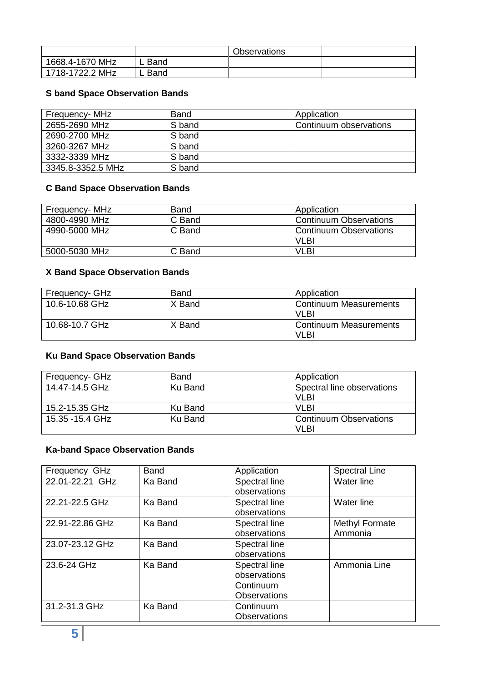|                 |        | <b>Observations</b> |  |
|-----------------|--------|---------------------|--|
| 1668.4-1670 MHz | L Band |                     |  |
| 1718-1722.2 MHz | L Band |                     |  |

## **S band Space Observation Bands**

| Frequency- MHz    | <b>Band</b> | Application            |
|-------------------|-------------|------------------------|
| 2655-2690 MHz     | S band      | Continuum observations |
| 2690-2700 MHz     | S band      |                        |
| 3260-3267 MHz     | S band      |                        |
| 3332-3339 MHz     | S band      |                        |
| 3345.8-3352.5 MHz | S band      |                        |

# **C Band Space Observation Bands**

| Frequency- MHz | <b>Band</b> | Application                   |
|----------------|-------------|-------------------------------|
| 4800-4990 MHz  | C Band      | <b>Continuum Observations</b> |
| 4990-5000 MHz  | C Band      | <b>Continuum Observations</b> |
|                |             | VLBI                          |
| 5000-5030 MHz  | C Band      | <b>VLBI</b>                   |

# **X Band Space Observation Bands**

| Frequency- GHz | Band   | Application                            |
|----------------|--------|----------------------------------------|
| 10.6-10.68 GHz | X Band | <b>Continuum Measurements</b><br>VI BI |
| 10.68-10.7 GHz | X Band | <b>Continuum Measurements</b><br>VLBI  |

# **Ku Band Space Observation Bands**

| Frequency- GHz   | <b>Band</b> | Application                   |
|------------------|-------------|-------------------------------|
| 14.47-14.5 GHz   | Ku Band     | Spectral line observations    |
|                  |             | VI BI                         |
| 15.2-15.35 GHz   | Ku Band     | VI BI                         |
| 15.35 - 15.4 GHz | Ku Band     | <b>Continuum Observations</b> |
|                  |             | VI BI                         |

## **Ka-band Space Observation Bands**

| Frequency GHz   | <b>Band</b> | Application         | <b>Spectral Line</b> |
|-----------------|-------------|---------------------|----------------------|
| 22.01-22.21 GHz | Ka Band     | Spectral line       | Water line           |
|                 |             | observations        |                      |
| 22.21-22.5 GHz  | Ka Band     | Spectral line       | Water line           |
|                 |             | observations        |                      |
| 22.91-22.86 GHz | Ka Band     | Spectral line       | Methyl Formate       |
|                 |             | observations        | Ammonia              |
| 23.07-23.12 GHz | Ka Band     | Spectral line       |                      |
|                 |             | observations        |                      |
| 23.6-24 GHz     | Ka Band     | Spectral line       | Ammonia Line         |
|                 |             | observations        |                      |
|                 |             | Continuum           |                      |
|                 |             | <b>Observations</b> |                      |
| 31.2-31.3 GHz   | Ka Band     | Continuum           |                      |
|                 |             | <b>Observations</b> |                      |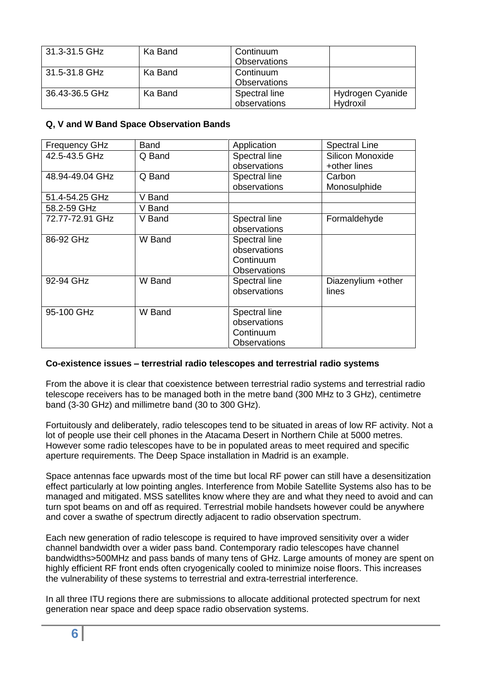| l 31.3-31.5 GHz | Ka Band | Continuum<br><b>Observations</b> |                              |
|-----------------|---------|----------------------------------|------------------------------|
| l 31.5-31.8 GHz | Ka Band | Continuum<br><b>Observations</b> |                              |
| 36.43-36.5 GHz  | Ka Band | Spectral line<br>observations    | Hydrogen Cyanide<br>Hydroxil |

### **Q, V and W Band Space Observation Bands**

| <b>Frequency GHz</b> | Band   | Application         | <b>Spectral Line</b> |
|----------------------|--------|---------------------|----------------------|
| 42.5-43.5 GHz        | Q Band | Spectral line       | Silicon Monoxide     |
|                      |        | observations        | +other lines         |
| 48.94-49.04 GHz      | Q Band | Spectral line       | Carbon               |
|                      |        | observations        | Monosulphide         |
| 51.4-54.25 GHz       | V Band |                     |                      |
| 58.2-59 GHz          | V Band |                     |                      |
| 72.77-72.91 GHz      | V Band | Spectral line       | Formaldehyde         |
|                      |        | observations        |                      |
| 86-92 GHz            | W Band | Spectral line       |                      |
|                      |        | observations        |                      |
|                      |        | Continuum           |                      |
|                      |        | <b>Observations</b> |                      |
| 92-94 GHz            | W Band | Spectral line       | Diazenylium +other   |
|                      |        | observations        | lines                |
|                      |        |                     |                      |
| 95-100 GHz           | W Band | Spectral line       |                      |
|                      |        | observations        |                      |
|                      |        | Continuum           |                      |
|                      |        | <b>Observations</b> |                      |

### **Co-existence issues – terrestrial radio telescopes and terrestrial radio systems**

From the above it is clear that coexistence between terrestrial radio systems and terrestrial radio telescope receivers has to be managed both in the metre band (300 MHz to 3 GHz), centimetre band (3-30 GHz) and millimetre band (30 to 300 GHz).

Fortuitously and deliberately, radio telescopes tend to be situated in areas of low RF activity. Not a lot of people use their cell phones in the Atacama Desert in Northern Chile at 5000 metres. However some radio telescopes have to be in populated areas to meet required and specific aperture requirements. The Deep Space installation in Madrid is an example.

Space antennas face upwards most of the time but local RF power can still have a desensitization effect particularly at low pointing angles. Interference from Mobile Satellite Systems also has to be managed and mitigated. MSS satellites know where they are and what they need to avoid and can turn spot beams on and off as required. Terrestrial mobile handsets however could be anywhere and cover a swathe of spectrum directly adjacent to radio observation spectrum.

Each new generation of radio telescope is required to have improved sensitivity over a wider channel bandwidth over a wider pass band. Contemporary radio telescopes have channel bandwidths>500MHz and pass bands of many tens of GHz. Large amounts of money are spent on highly efficient RF front ends often cryogenically cooled to minimize noise floors. This increases the vulnerability of these systems to terrestrial and extra-terrestrial interference.

In all three ITU regions there are submissions to allocate additional protected spectrum for next generation near space and deep space radio observation systems.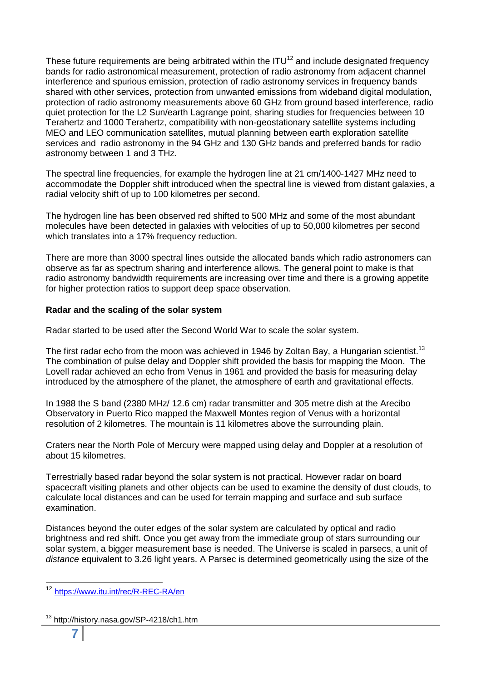These future requirements are being arbitrated within the  $ITU^{12}$  and include designated frequency bands for radio astronomical measurement, protection of radio astronomy from adjacent channel interference and spurious emission, protection of radio astronomy services in frequency bands shared with other services, protection from unwanted emissions from wideband digital modulation, protection of radio astronomy measurements above 60 GHz from ground based interference, radio quiet protection for the L2 Sun/earth Lagrange point, sharing studies for frequencies between 10 Terahertz and 1000 Terahertz, compatibility with non-geostationary satellite systems including MEO and LEO communication satellites, mutual planning between earth exploration satellite services and radio astronomy in the 94 GHz and 130 GHz bands and preferred bands for radio astronomy between 1 and 3 THz.

The spectral line frequencies, for example the hydrogen line at 21 cm/1400-1427 MHz need to accommodate the Doppler shift introduced when the spectral line is viewed from distant galaxies, a radial velocity shift of up to 100 kilometres per second.

The hydrogen line has been observed red shifted to 500 MHz and some of the most abundant molecules have been detected in galaxies with velocities of up to 50,000 kilometres per second which translates into a 17% frequency reduction.

There are more than 3000 spectral lines outside the allocated bands which radio astronomers can observe as far as spectrum sharing and interference allows. The general point to make is that radio astronomy bandwidth requirements are increasing over time and there is a growing appetite for higher protection ratios to support deep space observation.

### **Radar and the scaling of the solar system**

Radar started to be used after the Second World War to scale the solar system.

The first radar echo from the moon was achieved in 1946 by Zoltan Bay, a Hungarian scientist.<sup>13</sup> The combination of pulse delay and Doppler shift provided the basis for mapping the Moon. The Lovell radar achieved an echo from Venus in 1961 and provided the basis for measuring delay introduced by the atmosphere of the planet, the atmosphere of earth and gravitational effects.

In 1988 the S band (2380 MHz/ 12.6 cm) radar transmitter and 305 metre dish at the Arecibo Observatory in Puerto Rico mapped the Maxwell Montes region of Venus with a horizontal resolution of 2 kilometres. The mountain is 11 kilometres above the surrounding plain.

Craters near the North Pole of Mercury were mapped using delay and Doppler at a resolution of about 15 kilometres.

Terrestrially based radar beyond the solar system is not practical. However radar on board spacecraft visiting planets and other objects can be used to examine the density of dust clouds, to calculate local distances and can be used for terrain mapping and surface and sub surface examination.

Distances beyond the outer edges of the solar system are calculated by optical and radio brightness and red shift. Once you get away from the immediate group of stars surrounding our solar system, a bigger measurement base is needed. The Universe is scaled in parsecs, a unit of *distance* equivalent to 3.26 light years. A Parsec is determined geometrically using the size of the

<sup>&</sup>lt;sup>12</sup> <https://www.itu.int/rec/R-REC-RA/en>

<sup>&</sup>lt;sup>13</sup> http://history.nasa.gov/SP-4218/ch1.htm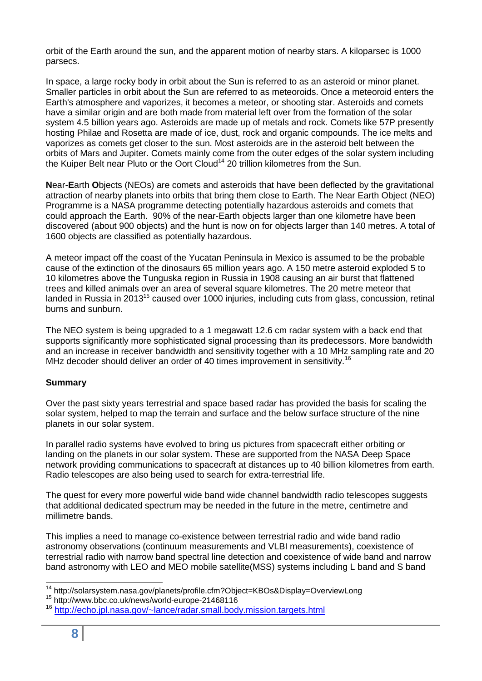orbit of the Earth around the sun, and the apparent motion of nearby stars. A kiloparsec is 1000 parsecs.

In space, a large rocky body in orbit about the Sun is referred to as an asteroid or minor planet. Smaller particles in orbit about the Sun are referred to as meteoroids. Once a meteoroid enters the Earth's atmosphere and vaporizes, it becomes a meteor, or shooting star. Asteroids and comets have a similar origin and are both made from material left over from the formation of the solar system 4.5 billion years ago. Asteroids are made up of metals and rock. Comets like 57P presently hosting Philae and Rosetta are made of ice, dust, rock and organic compounds. The ice melts and vaporizes as comets get closer to the sun. Most asteroids are in the asteroid belt between the orbits of Mars and Jupiter. Comets mainly come from the outer edges of the solar system including the Kuiper Belt near Pluto or the Oort Cloud<sup>14</sup> 20 trillion kilometres from the Sun.

**N**ear-**E**arth **O**bjects (NEOs) are comets and asteroids that have been deflected by the gravitational attraction of nearby planets into orbits that bring them close to Earth. The Near Earth Object (NEO) Programme is a NASA programme detecting potentially hazardous asteroids and comets that could approach the Earth. 90% of the near-Earth objects larger than one kilometre have been discovered (about 900 objects) and the hunt is now on for objects larger than 140 metres. A total of 1600 objects are classified as potentially hazardous.

A meteor impact off the coast of the Yucatan Peninsula in Mexico is assumed to be the probable cause of the extinction of the dinosaurs 65 million years ago. A 150 metre asteroid exploded 5 to 10 kilometres above the Tunguska region in Russia in 1908 causing an air burst that flattened trees and killed animals over an area of several square kilometres. The 20 metre meteor that landed in Russia in 2013<sup>15</sup> caused over 1000 injuries, including cuts from glass, concussion, retinal burns and sunburn.

The NEO system is being upgraded to a 1 megawatt 12.6 cm radar system with a back end that supports significantly more sophisticated signal processing than its predecessors. More bandwidth and an increase in receiver bandwidth and sensitivity together with a 10 MHz sampling rate and 20 MHz decoder should deliver an order of 40 times improvement in sensitivity.<sup>16</sup>

### **Summary**

Over the past sixty years terrestrial and space based radar has provided the basis for scaling the solar system, helped to map the terrain and surface and the below surface structure of the nine planets in our solar system.

In parallel radio systems have evolved to bring us pictures from spacecraft either orbiting or landing on the planets in our solar system. These are supported from the NASA Deep Space network providing communications to spacecraft at distances up to 40 billion kilometres from earth. Radio telescopes are also being used to search for extra-terrestrial life.

The quest for every more powerful wide band wide channel bandwidth radio telescopes suggests that additional dedicated spectrum may be needed in the future in the metre, centimetre and millimetre bands.

This implies a need to manage co-existence between terrestrial radio and wide band radio astronomy observations (continuum measurements and VLBI measurements), coexistence of terrestrial radio with narrow band spectral line detection and coexistence of wide band and narrow band astronomy with LEO and MEO mobile satellite(MSS) systems including L band and S band

 <sup>14</sup> http://solarsystem.nasa.gov/planets/profile.cfm?Object=KBOs&Display=OverviewLong

<sup>15</sup> http://www.bbc.co.uk/news/world-europe-21468116

<sup>16</sup> <http://echo.jpl.nasa.gov/~lance/radar.small.body.mission.targets.html>